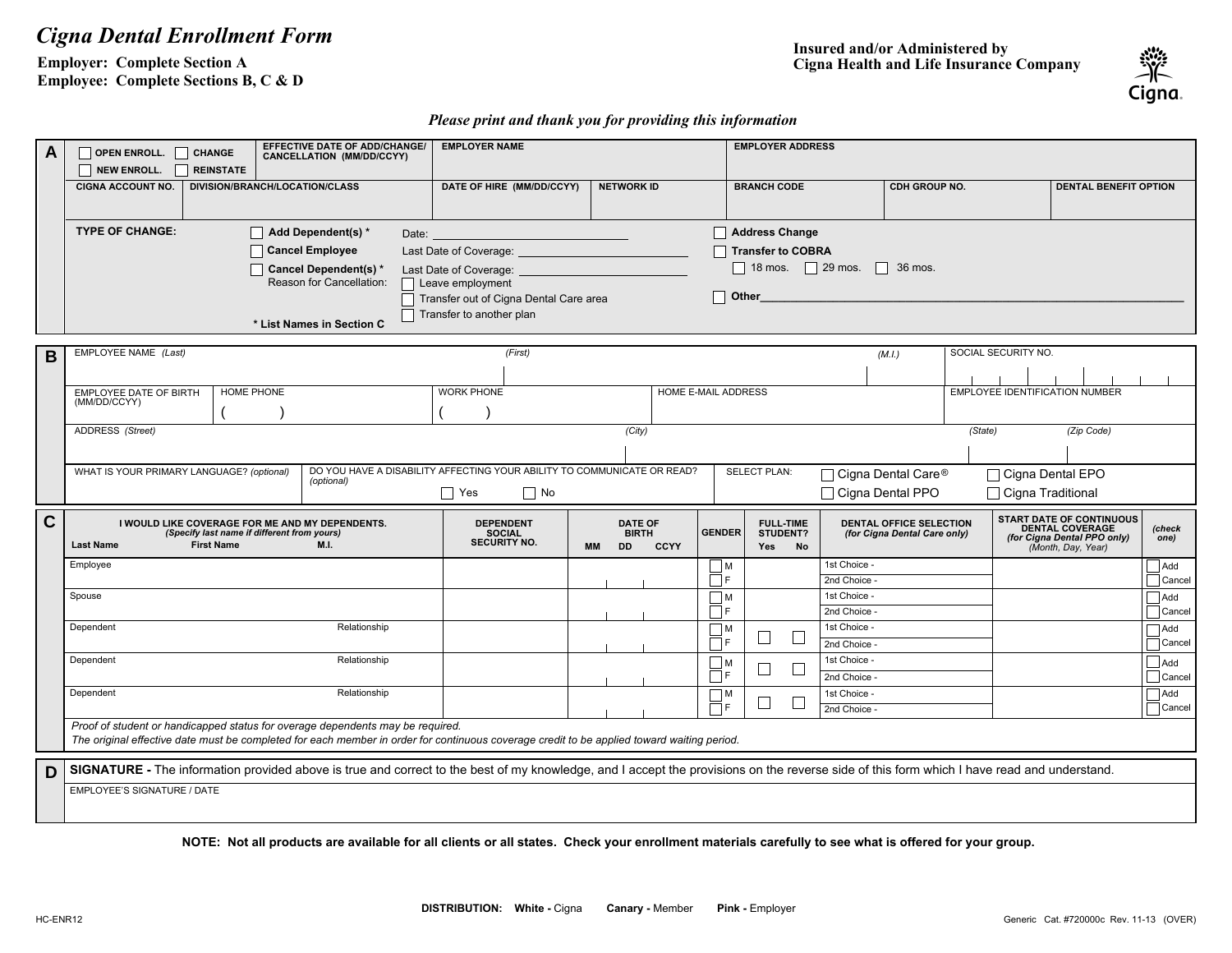## *Cigna Dental Enrollment Form*

**Employer: Complete Section A Employee: Complete Sections B, C & D** **Insured and/or Administered by Cigna Health and Life Insurance Company**



## *Please print and thank you for providing this information*

| A | OPEN ENROLL. CHANGE                                                                                                                                                                                                              | EFFECTIVE DATE OF ADD/CHANGE/<br>CANCELLATION (MM/DD/CCYY) | <b>EMPLOYER NAME</b>                   |                                |                                      | <b>EMPLOYER ADDRESS</b>                       |                              |                                       |                                                   |                      |  |
|---|----------------------------------------------------------------------------------------------------------------------------------------------------------------------------------------------------------------------------------|------------------------------------------------------------|----------------------------------------|--------------------------------|--------------------------------------|-----------------------------------------------|------------------------------|---------------------------------------|---------------------------------------------------|----------------------|--|
|   | NEW ENROLL.<br><b>REINSTATE</b>                                                                                                                                                                                                  |                                                            |                                        |                                |                                      |                                               |                              |                                       |                                                   |                      |  |
|   | DIVISION/BRANCH/LOCATION/CLASS<br><b>CIGNA ACCOUNT NO.</b>                                                                                                                                                                       |                                                            | DATE OF HIRE (MM/DD/CCYY)              | <b>NETWORK ID</b>              | <b>BRANCH CODE</b>                   |                                               | <b>CDH GROUP NO.</b>         |                                       | <b>DENTAL BENEFIT OPTION</b>                      |                      |  |
|   |                                                                                                                                                                                                                                  |                                                            |                                        |                                |                                      |                                               |                              |                                       |                                                   |                      |  |
|   | <b>TYPE OF CHANGE:</b>                                                                                                                                                                                                           | $\Box$ Add Dependent(s) *<br>Date:                         |                                        |                                | Address Change                       |                                               |                              |                                       |                                                   |                      |  |
|   |                                                                                                                                                                                                                                  | <b>Cancel Employee</b>                                     | Last Date of Coverage:                 |                                |                                      | <b>Transfer to COBRA</b>                      |                              |                                       |                                                   |                      |  |
|   |                                                                                                                                                                                                                                  | Cancel Dependent(s) *                                      | Last Date of Coverage:                 |                                |                                      | $\Box$ 18 mos. $\Box$ 29 mos.<br>36 mos.<br>H |                              |                                       |                                                   |                      |  |
|   |                                                                                                                                                                                                                                  | Reason for Cancellation:                                   | $\Box$ Leave employment                |                                |                                      |                                               |                              |                                       |                                                   |                      |  |
|   |                                                                                                                                                                                                                                  |                                                            | Transfer out of Cigna Dental Care area |                                | Other                                |                                               |                              |                                       |                                                   |                      |  |
|   |                                                                                                                                                                                                                                  | * List Names in Section C                                  | Transfer to another plan               |                                |                                      |                                               |                              |                                       |                                                   |                      |  |
|   |                                                                                                                                                                                                                                  |                                                            |                                        |                                |                                      |                                               |                              |                                       |                                                   |                      |  |
| B | EMPLOYEE NAME (Last)                                                                                                                                                                                                             |                                                            | (First)                                |                                |                                      |                                               | (M.I.)                       | SOCIAL SECURITY NO.                   |                                                   |                      |  |
|   |                                                                                                                                                                                                                                  |                                                            |                                        |                                |                                      |                                               |                              |                                       |                                                   |                      |  |
|   | <b>HOME PHONE</b><br><b>EMPLOYEE DATE OF BIRTH</b><br>(MM/DD/CCYY)                                                                                                                                                               |                                                            | <b>WORK PHONE</b>                      |                                | <b>HOME E-MAIL ADDRESS</b>           |                                               |                              | <b>EMPLOYEE IDENTIFICATION NUMBER</b> |                                                   |                      |  |
|   |                                                                                                                                                                                                                                  |                                                            |                                        |                                |                                      |                                               |                              |                                       |                                                   |                      |  |
|   | ADDRESS (Street)<br>(City)<br>(State)<br>(Zip Code)                                                                                                                                                                              |                                                            |                                        |                                |                                      |                                               |                              |                                       |                                                   |                      |  |
|   |                                                                                                                                                                                                                                  |                                                            |                                        |                                |                                      |                                               |                              |                                       |                                                   |                      |  |
|   | DO YOU HAVE A DISABILITY AFFECTING YOUR ABILITY TO COMMUNICATE OR READ?<br>WHAT IS YOUR PRIMARY LANGUAGE? (optional)<br><b>SELECT PLAN:</b><br>□ Cigna Dental EPO<br>□ Cigna Dental Care <sup>®</sup><br>(optional)              |                                                            |                                        |                                |                                      |                                               |                              |                                       |                                                   |                      |  |
|   | □ Cigna Dental PPO<br>$\Box$ Yes<br>$\Box$ No<br>□ Cigna Traditional                                                                                                                                                             |                                                            |                                        |                                |                                      |                                               |                              |                                       |                                                   |                      |  |
| C | I WOULD LIKE COVERAGE FOR ME AND MY DEPENDENTS.                                                                                                                                                                                  | <b>DEPENDENT</b><br><b>DATE OF</b>                         |                                        |                                | <b>FULL TIME</b>                     | DENTAL OFFICE SELECTION                       |                              | <b>START DATE OF CONTINUOUS</b>       |                                                   |                      |  |
|   |                                                                                                                                                                                                                                  |                                                            | <b>BIRTH</b>                           | <b>GENDER</b>                  | <b>STUDENT?</b>                      | (for Cigna Dental Care only)                  |                              | <b>DENTAL COVERAGE</b>                | (check<br>one)                                    |                      |  |
|   | (Specify last name if different from yours)                                                                                                                                                                                      |                                                            | <b>SOCIAL</b>                          |                                |                                      |                                               |                              |                                       |                                                   |                      |  |
|   | <b>First Name</b><br><b>Last Name</b>                                                                                                                                                                                            | M.I.                                                       | <b>SECURITY NO.</b>                    | <b>DD</b><br>CCYY<br><b>MM</b> | Yes                                  | No                                            |                              |                                       | (for Cigna Dental PPO only)<br>(Month, Day, Year) |                      |  |
|   | Employee                                                                                                                                                                                                                         |                                                            |                                        |                                | $\mathsf{M}$                         |                                               | 1st Choice -                 |                                       |                                                   | Add                  |  |
|   | Spouse                                                                                                                                                                                                                           |                                                            |                                        |                                | ∏F<br>ヿм                             |                                               | 2nd Choice -<br>1st Choice - |                                       |                                                   | Cancel<br>Add        |  |
|   |                                                                                                                                                                                                                                  |                                                            |                                        |                                | ПF                                   |                                               | 2nd Choice                   |                                       |                                                   | $\Box$ Cancel        |  |
|   | Dependent                                                                                                                                                                                                                        | Relationship                                               |                                        |                                | ヿм                                   |                                               | 1st Choice -                 |                                       |                                                   | $\Box$ Add           |  |
|   |                                                                                                                                                                                                                                  |                                                            |                                        |                                | $\mathbb{R}^n$<br>ПF                 | $\Box$                                        | 2nd Choice                   |                                       |                                                   | $\Box$ Cancel        |  |
|   | Dependent                                                                                                                                                                                                                        | Relationship                                               |                                        |                                | $\Box$ M<br>$\Box$                   | $\Box$                                        | 1st Choice -                 |                                       |                                                   | $\Box$ Add           |  |
|   |                                                                                                                                                                                                                                  | Relationship                                               |                                        |                                | ПF                                   |                                               | 2nd Choice -                 |                                       |                                                   | $\Box$ Cancel        |  |
|   | Dependent                                                                                                                                                                                                                        |                                                            |                                        |                                | $\Box$ M<br>$\mathbf{I}$<br>$\Box$ e | $\Box$                                        | 1st Choice -<br>2nd Choice - |                                       |                                                   | Add<br>$\Box$ Cancel |  |
|   | Proof of student or handicapped status for overage dependents may be required.                                                                                                                                                   |                                                            |                                        |                                |                                      |                                               |                              |                                       |                                                   |                      |  |
|   | The original effective date must be completed for each member in order for continuous coverage credit to be applied toward waiting period.                                                                                       |                                                            |                                        |                                |                                      |                                               |                              |                                       |                                                   |                      |  |
|   |                                                                                                                                                                                                                                  |                                                            |                                        |                                |                                      |                                               |                              |                                       |                                                   |                      |  |
| D | SIGNATURE - The information provided above is true and correct to the best of my knowledge, and I accept the provisions on the reverse side of this form which I have read and understand.<br><b>EMPLOYEE'S SIGNATURE / DATE</b> |                                                            |                                        |                                |                                      |                                               |                              |                                       |                                                   |                      |  |

**NOTE: Not all products are available for all clients or all states. Check your enrollment materials carefully to see what is offered for your group.**